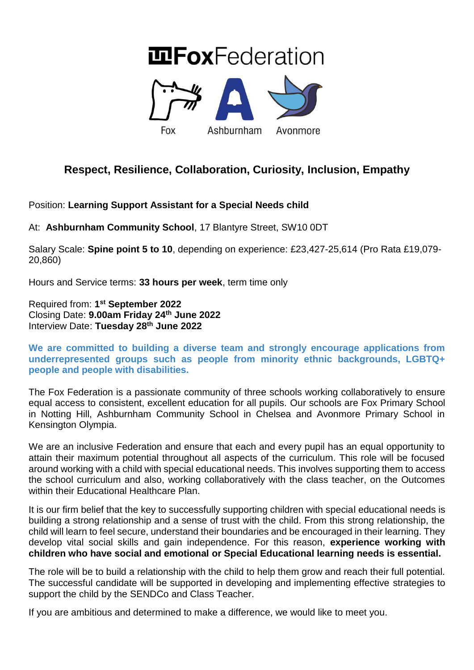# **InFoxFederation**



## **Respect, Resilience, Collaboration, Curiosity, Inclusion, Empathy**

Position: **Learning Support Assistant for a Special Needs child**

At: **Ashburnham Community School**, 17 Blantyre Street, SW10 0DT

Salary Scale: **Spine point 5 to 10**, depending on experience: £23,427-25,614 (Pro Rata £19,079- 20,860)

Hours and Service terms: **33 hours per week**, term time only

Required from: **1 st September 2022** Closing Date: **9.00am Friday 24th June 2022** Interview Date: **Tuesday 28th June 2022**

**We are committed to building a diverse team and strongly encourage applications from underrepresented groups such as people from minority ethnic backgrounds, LGBTQ+ people and people with disabilities.** 

The Fox Federation is a passionate community of three schools working collaboratively to ensure equal access to consistent, excellent education for all pupils. Our schools are Fox Primary School in Notting Hill, Ashburnham Community School in Chelsea and Avonmore Primary School in Kensington Olympia.

We are an inclusive Federation and ensure that each and every pupil has an equal opportunity to attain their maximum potential throughout all aspects of the curriculum. This role will be focused around working with a child with special educational needs. This involves supporting them to access the school curriculum and also, working collaboratively with the class teacher, on the Outcomes within their Educational Healthcare Plan.

It is our firm belief that the key to successfully supporting children with special educational needs is building a strong relationship and a sense of trust with the child. From this strong relationship, the child will learn to feel secure, understand their boundaries and be encouraged in their learning. They develop vital social skills and gain independence. For this reason, **experience working with children who have social and emotional or Special Educational learning needs is essential.** 

The role will be to build a relationship with the child to help them grow and reach their full potential. The successful candidate will be supported in developing and implementing effective strategies to support the child by the SENDCo and Class Teacher.

If you are ambitious and determined to make a difference, we would like to meet you.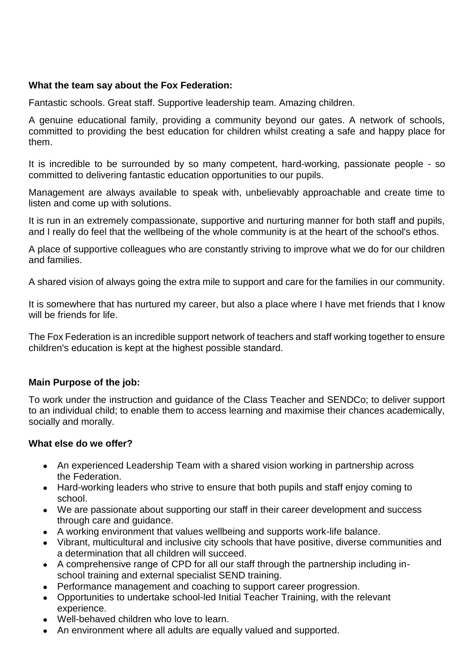### **What the team say about the Fox Federation:**

Fantastic schools. Great staff. Supportive leadership team. Amazing children.

A genuine educational family, providing a community beyond our gates. A network of schools, committed to providing the best education for children whilst creating a safe and happy place for them.

It is incredible to be surrounded by so many competent, hard-working, passionate people - so committed to delivering fantastic education opportunities to our pupils.

Management are always available to speak with, unbelievably approachable and create time to listen and come up with solutions.

It is run in an extremely compassionate, supportive and nurturing manner for both staff and pupils, and I really do feel that the wellbeing of the whole community is at the heart of the school's ethos.

A place of supportive colleagues who are constantly striving to improve what we do for our children and families.

A shared vision of always going the extra mile to support and care for the families in our community.

It is somewhere that has nurtured my career, but also a place where I have met friends that I know will be friends for life.

The Fox Federation is an incredible support network of teachers and staff working together to ensure children's education is kept at the highest possible standard.

#### **Main Purpose of the job:**

To work under the instruction and guidance of the Class Teacher and SENDCo; to deliver support to an individual child; to enable them to access learning and maximise their chances academically, socially and morally.

#### **What else do we offer?**

- An experienced Leadership Team with a shared vision working in partnership across the Federation.
- Hard-working leaders who strive to ensure that both pupils and staff enjoy coming to school.
- We are passionate about supporting our staff in their career development and success through care and guidance.
- A working environment that values wellbeing and supports work-life balance.
- Vibrant, multicultural and inclusive city schools that have positive, diverse communities and a determination that all children will succeed.
- A comprehensive range of CPD for all our staff through the partnership including inschool training and external specialist SEND training.
- Performance management and coaching to support career progression.
- Opportunities to undertake school-led Initial Teacher Training, with the relevant experience.
- Well-behaved children who love to learn.
- An environment where all adults are equally valued and supported.